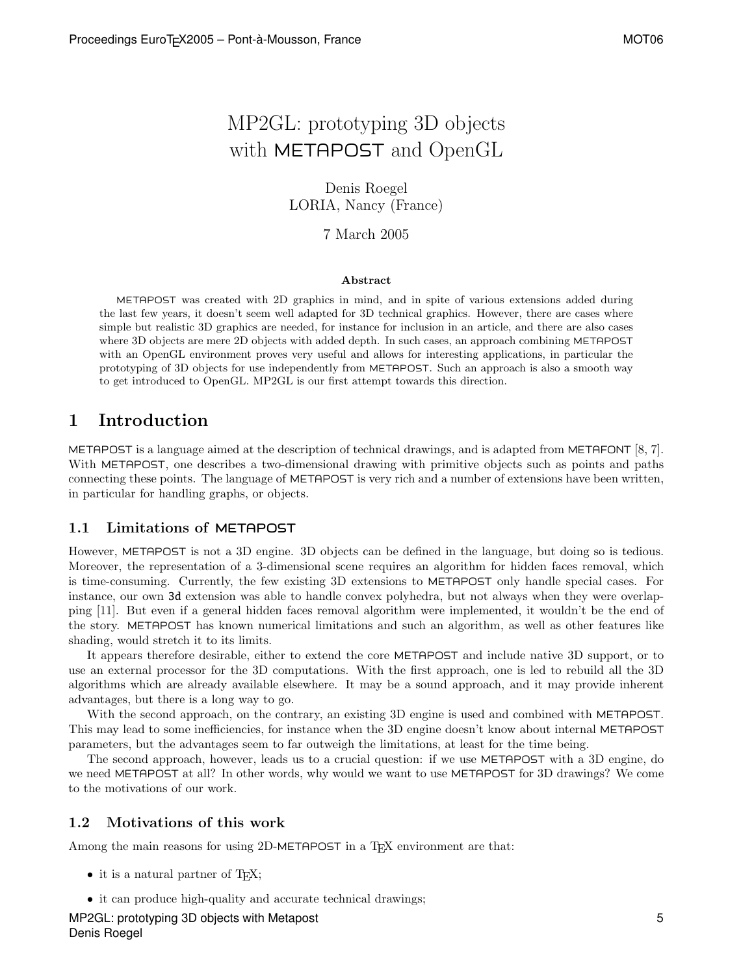# MP2GL: prototyping 3D objects with METAPOST and OpenGL

Denis Roegel LORIA, Nancy (France)

7 March 2005

#### Abstract

METAPOST was created with 2D graphics in mind, and in spite of various extensions added during the last few years, it doesn't seem well adapted for 3D technical graphics. However, there are cases where simple but realistic 3D graphics are needed, for instance for inclusion in an article, and there are also cases where 3D objects are mere 2D objects with added depth. In such cases, an approach combining METAPOST with an OpenGL environment proves very useful and allows for interesting applications, in particular the prototyping of 3D objects for use independently from METAPOST. Such an approach is also a smooth way to get introduced to OpenGL. MP2GL is our first attempt towards this direction.

## 1 Introduction

METAPOST is a language aimed at the description of technical drawings, and is adapted from METAFONT [8, 7]. With METAPOST, one describes a two-dimensional drawing with primitive objects such as points and paths connecting these points. The language of METAPOST is very rich and a number of extensions have been written, in particular for handling graphs, or objects.

### 1.1 Limitations of METAPOST

However, METAPOST is not a 3D engine. 3D objects can be defined in the language, but doing so is tedious. Moreover, the representation of a 3-dimensional scene requires an algorithm for hidden faces removal, which is time-consuming. Currently, the few existing 3D extensions to METAPOST only handle special cases. For instance, our own 3d extension was able to handle convex polyhedra, but not always when they were overlapping [11]. But even if a general hidden faces removal algorithm were implemented, it wouldn't be the end of the story. METAPOST has known numerical limitations and such an algorithm, as well as other features like shading, would stretch it to its limits.

It appears therefore desirable, either to extend the core METAPOST and include native 3D support, or to use an external processor for the 3D computations. With the first approach, one is led to rebuild all the 3D algorithms which are already available elsewhere. It may be a sound approach, and it may provide inherent advantages, but there is a long way to go.

With the second approach, on the contrary, an existing 3D engine is used and combined with METAPOST. This may lead to some inefficiencies, for instance when the 3D engine doesn't know about internal METAPOST parameters, but the advantages seem to far outweigh the limitations, at least for the time being.

The second approach, however, leads us to a crucial question: if we use METAPOST with a 3D engine, do we need METAPOST at all? In other words, why would we want to use METAPOST for 3D drawings? We come to the motivations of our work.

### 1.2 Motivations of this work

Among the main reasons for using 2D-METAPOST in a T<sub>F</sub>X environment are that:

- it is a natural partner of  $T_F X$ ;
- it can produce high-quality and accurate technical drawings;

MP2GL: prototyping 3D objects with Metapost Denis Roegel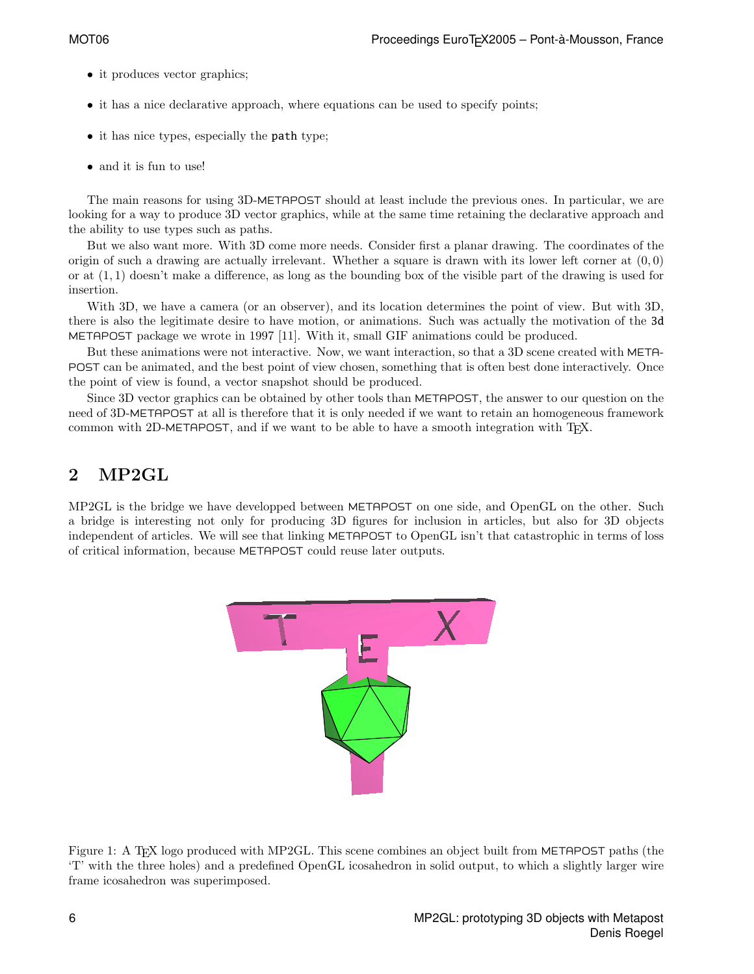- it produces vector graphics;
- it has a nice declarative approach, where equations can be used to specify points;
- it has nice types, especially the path type;
- and it is fun to use!

The main reasons for using 3D-METAPOST should at least include the previous ones. In particular, we are looking for a way to produce 3D vector graphics, while at the same time retaining the declarative approach and the ability to use types such as paths.

But we also want more. With 3D come more needs. Consider first a planar drawing. The coordinates of the origin of such a drawing are actually irrelevant. Whether a square is drawn with its lower left corner at  $(0,0)$ or at  $(1, 1)$  doesn't make a difference, as long as the bounding box of the visible part of the drawing is used for insertion.

With 3D, we have a camera (or an observer), and its location determines the point of view. But with 3D, there is also the legitimate desire to have motion, or animations. Such was actually the motivation of the 3d METAPOST package we wrote in 1997 [11]. With it, small GIF animations could be produced.

But these animations were not interactive. Now, we want interaction, so that a 3D scene created with META-POST can be animated, and the best point of view chosen, something that is often best done interactively. Once the point of view is found, a vector snapshot should be produced.

Since 3D vector graphics can be obtained by other tools than METAPOST, the answer to our question on the need of 3D-METAPOST at all is therefore that it is only needed if we want to retain an homogeneous framework common with 2D-METAPOST, and if we want to be able to have a smooth integration with TEX.

## 2 MP2GL

MP2GL is the bridge we have developped between METAPOST on one side, and OpenGL on the other. Such a bridge is interesting not only for producing 3D figures for inclusion in articles, but also for 3D objects independent of articles. We will see that linking METAPOST to OpenGL isn't that catastrophic in terms of loss of critical information, because METAPOST could reuse later outputs.



Figure 1: A T<sub>EX</sub> logo produced with MP2GL. This scene combines an object built from METAPOST paths (the 'T' with the three holes) and a predefined OpenGL icosahedron in solid output, to which a slightly larger wire frame icosahedron was superimposed.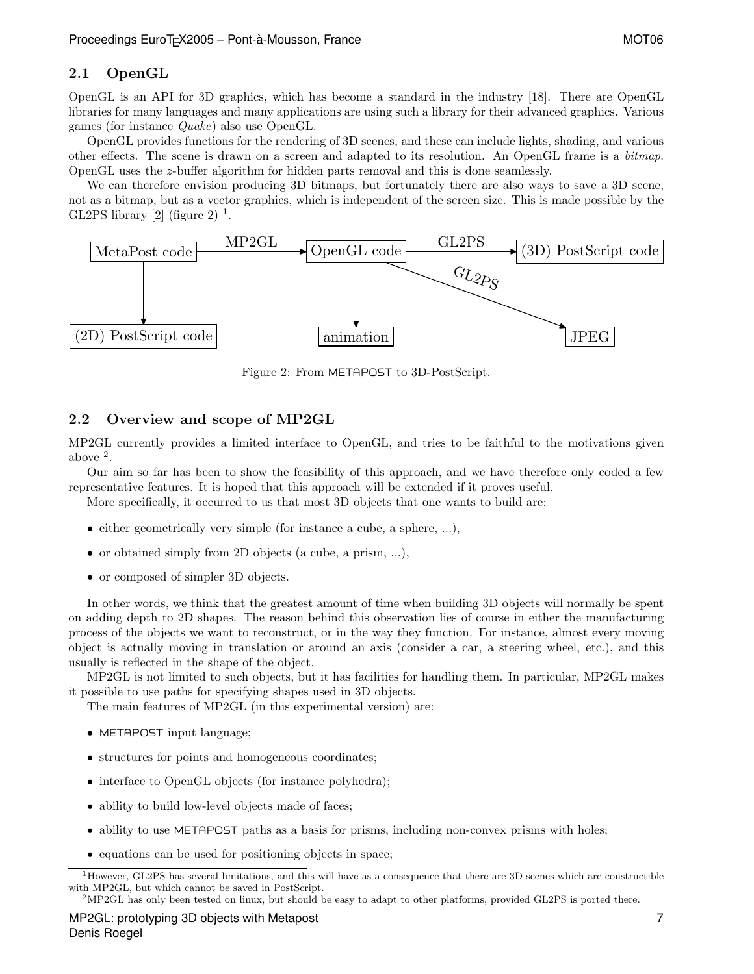### 2.1 OpenGL

OpenGL is an API for 3D graphics, which has become a standard in the industry [18]. There are OpenGL libraries for many languages and many applications are using such a library for their advanced graphics. Various games (for instance Quake) also use OpenGL.

OpenGL provides functions for the rendering of 3D scenes, and these can include lights, shading, and various other effects. The scene is drawn on a screen and adapted to its resolution. An OpenGL frame is a bitmap. OpenGL uses the z-buffer algorithm for hidden parts removal and this is done seamlessly.

We can therefore envision producing 3D bitmaps, but fortunately there are also ways to save a 3D scene, not as a bitmap, but as a vector graphics, which is independent of the screen size. This is made possible by the GL2PS library  $[2]$  (figure 2)<sup>1</sup>.



Figure 2: From METAPOST to 3D-PostScript.

## 2.2 Overview and scope of MP2GL

MP2GL currently provides a limited interface to OpenGL, and tries to be faithful to the motivations given above <sup>2</sup> .

Our aim so far has been to show the feasibility of this approach, and we have therefore only coded a few representative features. It is hoped that this approach will be extended if it proves useful.

More specifically, it occurred to us that most 3D objects that one wants to build are:

- either geometrically very simple (for instance a cube, a sphere, ...),
- or obtained simply from 2D objects (a cube, a prism, ...),
- or composed of simpler 3D objects.

In other words, we think that the greatest amount of time when building 3D objects will normally be spent on adding depth to 2D shapes. The reason behind this observation lies of course in either the manufacturing process of the objects we want to reconstruct, or in the way they function. For instance, almost every moving object is actually moving in translation or around an axis (consider a car, a steering wheel, etc.), and this usually is reflected in the shape of the object.

MP2GL is not limited to such objects, but it has facilities for handling them. In particular, MP2GL makes it possible to use paths for specifying shapes used in 3D objects.

The main features of MP2GL (in this experimental version) are:

- METAPOST input language;
- structures for points and homogeneous coordinates;
- interface to OpenGL objects (for instance polyhedra);
- ability to build low-level objects made of faces;
- ability to use METAPOST paths as a basis for prisms, including non-convex prisms with holes;
- equations can be used for positioning objects in space;

<sup>&</sup>lt;sup>1</sup>However, GL2PS has several limitations, and this will have as a consequence that there are 3D scenes which are constructible with MP2GL, but which cannot be saved in PostScript.

<sup>2</sup>MP2GL has only been tested on linux, but should be easy to adapt to other platforms, provided GL2PS is ported there.